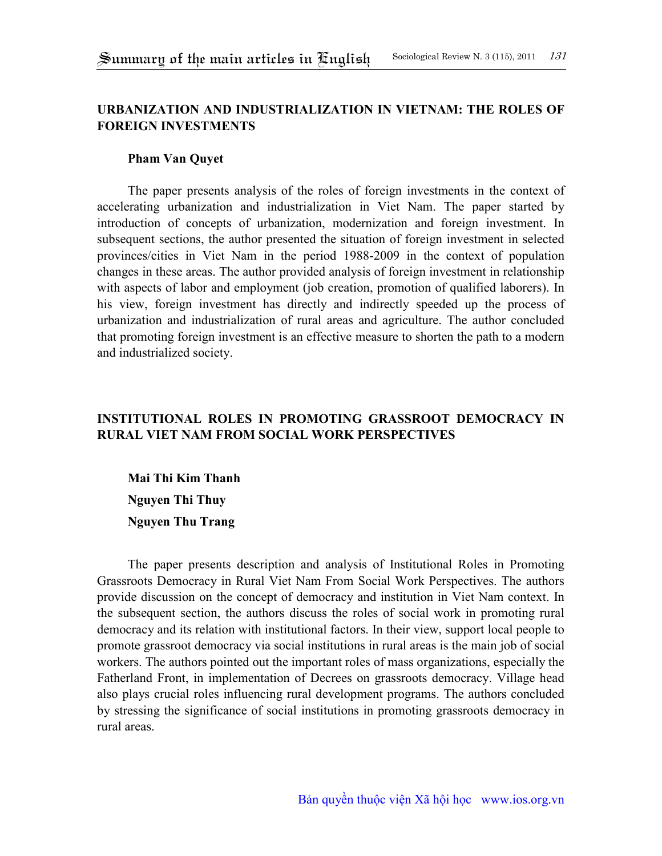## **URBANIZATION AND INDUSTRIALIZATION IN VIETNAM: THE ROLES OF FOREIGN INVESTMENTS**

### **Pham Van Quyet**

The paper presents analysis of the roles of foreign investments in the context of accelerating urbanization and industrialization in Viet Nam. The paper started by introduction of concepts of urbanization, modernization and foreign investment. In subsequent sections, the author presented the situation of foreign investment in selected provinces/cities in Viet Nam in the period 1988-2009 in the context of population changes in these areas. The author provided analysis of foreign investment in relationship with aspects of labor and employment (job creation, promotion of qualified laborers). In his view, foreign investment has directly and indirectly speeded up the process of urbanization and industrialization of rural areas and agriculture. The author concluded that promoting foreign investment is an effective measure to shorten the path to a modern and industrialized society.

# **INSTITUTIONAL ROLES IN PROMOTING GRASSROOT DEMOCRACY IN RURAL VIET NAM FROM SOCIAL WORK PERSPECTIVES**

**Mai Thi Kim Thanh Nguyen Thi Thuy Nguyen Thu Trang** 

The paper presents description and analysis of Institutional Roles in Promoting Grassroots Democracy in Rural Viet Nam From Social Work Perspectives. The authors provide discussion on the concept of democracy and institution in Viet Nam context. In the subsequent section, the authors discuss the roles of social work in promoting rural democracy and its relation with institutional factors. In their view, support local people to promote grassroot democracy via social institutions in rural areas is the main job of social workers. The authors pointed out the important roles of mass organizations, especially the Fatherland Front, in implementation of Decrees on grassroots democracy. Village head also plays crucial roles influencing rural development programs. The authors concluded by stressing the significance of social institutions in promoting grassroots democracy in rural areas.